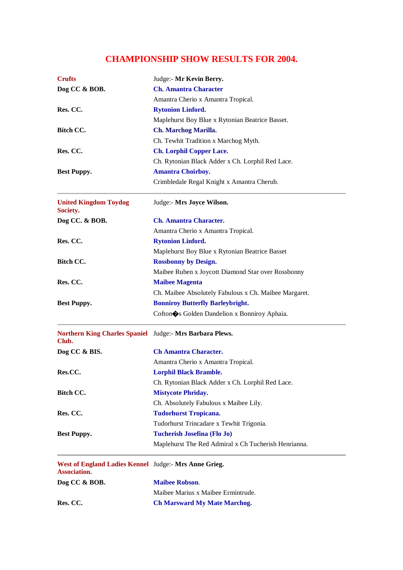## **CHAMPIONSHIP SHOW RESULTS FOR 2004.**

| Dog CC & BOB.<br><b>Ch. Amantra Character</b><br>Amantra Cherio x Amantra Tropical.<br>Res. CC.<br><b>Rytonion Linford.</b><br>Maplehurst Boy Blue x Rytonian Beatrice Basset.<br>Bitch CC.<br>Ch. Marchog Marilla.<br>Ch. Tewhit Tradition x Marchog Myth.<br>Res. CC.<br><b>Ch. Lorphil Copper Lace.</b><br>Ch. Rytonian Black Adder x Ch. Lorphil Red Lace.<br><b>Amantra Choirboy.</b><br><b>Best Puppy.</b><br>Crimbledale Regal Knight x Amantra Cherub.<br><b>United Kingdom Toydog</b><br>Judge:- Mrs Joyce Wilson.<br>Society.<br><b>Ch. Amantra Character.</b><br>Dog CC. & BOB.<br>Amantra Cherio x Amantra Tropical.<br>Res. CC.<br><b>Rytonion Linford.</b><br>Maplehurst Boy Blue x Rytonian Beatrice Basset<br><b>Bitch CC.</b><br><b>Rossbonny by Design.</b><br>Maibee Ruben x Joycott Diamond Star over Rossbonny<br>Res. CC.<br><b>Maibee Magenta</b><br>Ch. Maibee Absolutely Fabulous x Ch. Maibee Margaret.<br><b>Bonniroy Butterfly Barleybright.</b><br><b>Best Puppy.</b><br>Cofton $\spadesuit$ s Golden Dandelion x Bonniroy Aphaia.<br>Northern King Charles Spaniel Judge:- Mrs Barbara Plews.<br>Club.<br>Dog CC & BIS.<br><b>Ch Amantra Character.</b><br>Amantra Cherio x Amantra Tropical.<br>Res.CC.<br><b>Lorphil Black Bramble.</b><br>Ch. Rytonian Black Adder x Ch. Lorphil Red Lace.<br><b>Mistycote Phriday.</b><br><b>Bitch CC.</b><br>Ch. Absolutely Fabulous x Maibee Lily.<br>Res. CC.<br><b>Tudorhurst Tropicana.</b><br>Tudorhurst Trincadare x Tewhit Trigonia.<br><b>Tucherish Josefina (Flo Jo)</b><br><b>Best Puppy.</b><br>Maplehurst The Red Admiral x Ch Tucherish Henrianna.<br>West of England Ladies Kennel Judge:- Mrs Anne Grieg.<br>Association.<br><b>Maibee Robson.</b><br>Dog CC & BOB.<br>Maibee Marius x Maibee Ermintrude.<br>Res. CC.<br><b>Ch Marsward My Mate Marchog.</b> | <b>Crufts</b> | Judge:- Mr Kevin Berry. |
|------------------------------------------------------------------------------------------------------------------------------------------------------------------------------------------------------------------------------------------------------------------------------------------------------------------------------------------------------------------------------------------------------------------------------------------------------------------------------------------------------------------------------------------------------------------------------------------------------------------------------------------------------------------------------------------------------------------------------------------------------------------------------------------------------------------------------------------------------------------------------------------------------------------------------------------------------------------------------------------------------------------------------------------------------------------------------------------------------------------------------------------------------------------------------------------------------------------------------------------------------------------------------------------------------------------------------------------------------------------------------------------------------------------------------------------------------------------------------------------------------------------------------------------------------------------------------------------------------------------------------------------------------------------------------------------------------------------------------------------------------------------------------------------------------------------------------------------------|---------------|-------------------------|
|                                                                                                                                                                                                                                                                                                                                                                                                                                                                                                                                                                                                                                                                                                                                                                                                                                                                                                                                                                                                                                                                                                                                                                                                                                                                                                                                                                                                                                                                                                                                                                                                                                                                                                                                                                                                                                                |               |                         |
|                                                                                                                                                                                                                                                                                                                                                                                                                                                                                                                                                                                                                                                                                                                                                                                                                                                                                                                                                                                                                                                                                                                                                                                                                                                                                                                                                                                                                                                                                                                                                                                                                                                                                                                                                                                                                                                |               |                         |
|                                                                                                                                                                                                                                                                                                                                                                                                                                                                                                                                                                                                                                                                                                                                                                                                                                                                                                                                                                                                                                                                                                                                                                                                                                                                                                                                                                                                                                                                                                                                                                                                                                                                                                                                                                                                                                                |               |                         |
|                                                                                                                                                                                                                                                                                                                                                                                                                                                                                                                                                                                                                                                                                                                                                                                                                                                                                                                                                                                                                                                                                                                                                                                                                                                                                                                                                                                                                                                                                                                                                                                                                                                                                                                                                                                                                                                |               |                         |
|                                                                                                                                                                                                                                                                                                                                                                                                                                                                                                                                                                                                                                                                                                                                                                                                                                                                                                                                                                                                                                                                                                                                                                                                                                                                                                                                                                                                                                                                                                                                                                                                                                                                                                                                                                                                                                                |               |                         |
|                                                                                                                                                                                                                                                                                                                                                                                                                                                                                                                                                                                                                                                                                                                                                                                                                                                                                                                                                                                                                                                                                                                                                                                                                                                                                                                                                                                                                                                                                                                                                                                                                                                                                                                                                                                                                                                |               |                         |
|                                                                                                                                                                                                                                                                                                                                                                                                                                                                                                                                                                                                                                                                                                                                                                                                                                                                                                                                                                                                                                                                                                                                                                                                                                                                                                                                                                                                                                                                                                                                                                                                                                                                                                                                                                                                                                                |               |                         |
|                                                                                                                                                                                                                                                                                                                                                                                                                                                                                                                                                                                                                                                                                                                                                                                                                                                                                                                                                                                                                                                                                                                                                                                                                                                                                                                                                                                                                                                                                                                                                                                                                                                                                                                                                                                                                                                |               |                         |
|                                                                                                                                                                                                                                                                                                                                                                                                                                                                                                                                                                                                                                                                                                                                                                                                                                                                                                                                                                                                                                                                                                                                                                                                                                                                                                                                                                                                                                                                                                                                                                                                                                                                                                                                                                                                                                                |               |                         |
|                                                                                                                                                                                                                                                                                                                                                                                                                                                                                                                                                                                                                                                                                                                                                                                                                                                                                                                                                                                                                                                                                                                                                                                                                                                                                                                                                                                                                                                                                                                                                                                                                                                                                                                                                                                                                                                |               |                         |
|                                                                                                                                                                                                                                                                                                                                                                                                                                                                                                                                                                                                                                                                                                                                                                                                                                                                                                                                                                                                                                                                                                                                                                                                                                                                                                                                                                                                                                                                                                                                                                                                                                                                                                                                                                                                                                                |               |                         |
|                                                                                                                                                                                                                                                                                                                                                                                                                                                                                                                                                                                                                                                                                                                                                                                                                                                                                                                                                                                                                                                                                                                                                                                                                                                                                                                                                                                                                                                                                                                                                                                                                                                                                                                                                                                                                                                |               |                         |
|                                                                                                                                                                                                                                                                                                                                                                                                                                                                                                                                                                                                                                                                                                                                                                                                                                                                                                                                                                                                                                                                                                                                                                                                                                                                                                                                                                                                                                                                                                                                                                                                                                                                                                                                                                                                                                                |               |                         |
|                                                                                                                                                                                                                                                                                                                                                                                                                                                                                                                                                                                                                                                                                                                                                                                                                                                                                                                                                                                                                                                                                                                                                                                                                                                                                                                                                                                                                                                                                                                                                                                                                                                                                                                                                                                                                                                |               |                         |
|                                                                                                                                                                                                                                                                                                                                                                                                                                                                                                                                                                                                                                                                                                                                                                                                                                                                                                                                                                                                                                                                                                                                                                                                                                                                                                                                                                                                                                                                                                                                                                                                                                                                                                                                                                                                                                                |               |                         |
|                                                                                                                                                                                                                                                                                                                                                                                                                                                                                                                                                                                                                                                                                                                                                                                                                                                                                                                                                                                                                                                                                                                                                                                                                                                                                                                                                                                                                                                                                                                                                                                                                                                                                                                                                                                                                                                |               |                         |
|                                                                                                                                                                                                                                                                                                                                                                                                                                                                                                                                                                                                                                                                                                                                                                                                                                                                                                                                                                                                                                                                                                                                                                                                                                                                                                                                                                                                                                                                                                                                                                                                                                                                                                                                                                                                                                                |               |                         |
|                                                                                                                                                                                                                                                                                                                                                                                                                                                                                                                                                                                                                                                                                                                                                                                                                                                                                                                                                                                                                                                                                                                                                                                                                                                                                                                                                                                                                                                                                                                                                                                                                                                                                                                                                                                                                                                |               |                         |
|                                                                                                                                                                                                                                                                                                                                                                                                                                                                                                                                                                                                                                                                                                                                                                                                                                                                                                                                                                                                                                                                                                                                                                                                                                                                                                                                                                                                                                                                                                                                                                                                                                                                                                                                                                                                                                                |               |                         |
|                                                                                                                                                                                                                                                                                                                                                                                                                                                                                                                                                                                                                                                                                                                                                                                                                                                                                                                                                                                                                                                                                                                                                                                                                                                                                                                                                                                                                                                                                                                                                                                                                                                                                                                                                                                                                                                |               |                         |
|                                                                                                                                                                                                                                                                                                                                                                                                                                                                                                                                                                                                                                                                                                                                                                                                                                                                                                                                                                                                                                                                                                                                                                                                                                                                                                                                                                                                                                                                                                                                                                                                                                                                                                                                                                                                                                                |               |                         |
|                                                                                                                                                                                                                                                                                                                                                                                                                                                                                                                                                                                                                                                                                                                                                                                                                                                                                                                                                                                                                                                                                                                                                                                                                                                                                                                                                                                                                                                                                                                                                                                                                                                                                                                                                                                                                                                |               |                         |
|                                                                                                                                                                                                                                                                                                                                                                                                                                                                                                                                                                                                                                                                                                                                                                                                                                                                                                                                                                                                                                                                                                                                                                                                                                                                                                                                                                                                                                                                                                                                                                                                                                                                                                                                                                                                                                                |               |                         |
|                                                                                                                                                                                                                                                                                                                                                                                                                                                                                                                                                                                                                                                                                                                                                                                                                                                                                                                                                                                                                                                                                                                                                                                                                                                                                                                                                                                                                                                                                                                                                                                                                                                                                                                                                                                                                                                |               |                         |
|                                                                                                                                                                                                                                                                                                                                                                                                                                                                                                                                                                                                                                                                                                                                                                                                                                                                                                                                                                                                                                                                                                                                                                                                                                                                                                                                                                                                                                                                                                                                                                                                                                                                                                                                                                                                                                                |               |                         |
|                                                                                                                                                                                                                                                                                                                                                                                                                                                                                                                                                                                                                                                                                                                                                                                                                                                                                                                                                                                                                                                                                                                                                                                                                                                                                                                                                                                                                                                                                                                                                                                                                                                                                                                                                                                                                                                |               |                         |
|                                                                                                                                                                                                                                                                                                                                                                                                                                                                                                                                                                                                                                                                                                                                                                                                                                                                                                                                                                                                                                                                                                                                                                                                                                                                                                                                                                                                                                                                                                                                                                                                                                                                                                                                                                                                                                                |               |                         |
|                                                                                                                                                                                                                                                                                                                                                                                                                                                                                                                                                                                                                                                                                                                                                                                                                                                                                                                                                                                                                                                                                                                                                                                                                                                                                                                                                                                                                                                                                                                                                                                                                                                                                                                                                                                                                                                |               |                         |
|                                                                                                                                                                                                                                                                                                                                                                                                                                                                                                                                                                                                                                                                                                                                                                                                                                                                                                                                                                                                                                                                                                                                                                                                                                                                                                                                                                                                                                                                                                                                                                                                                                                                                                                                                                                                                                                |               |                         |
|                                                                                                                                                                                                                                                                                                                                                                                                                                                                                                                                                                                                                                                                                                                                                                                                                                                                                                                                                                                                                                                                                                                                                                                                                                                                                                                                                                                                                                                                                                                                                                                                                                                                                                                                                                                                                                                |               |                         |
|                                                                                                                                                                                                                                                                                                                                                                                                                                                                                                                                                                                                                                                                                                                                                                                                                                                                                                                                                                                                                                                                                                                                                                                                                                                                                                                                                                                                                                                                                                                                                                                                                                                                                                                                                                                                                                                |               |                         |
|                                                                                                                                                                                                                                                                                                                                                                                                                                                                                                                                                                                                                                                                                                                                                                                                                                                                                                                                                                                                                                                                                                                                                                                                                                                                                                                                                                                                                                                                                                                                                                                                                                                                                                                                                                                                                                                |               |                         |
|                                                                                                                                                                                                                                                                                                                                                                                                                                                                                                                                                                                                                                                                                                                                                                                                                                                                                                                                                                                                                                                                                                                                                                                                                                                                                                                                                                                                                                                                                                                                                                                                                                                                                                                                                                                                                                                |               |                         |
|                                                                                                                                                                                                                                                                                                                                                                                                                                                                                                                                                                                                                                                                                                                                                                                                                                                                                                                                                                                                                                                                                                                                                                                                                                                                                                                                                                                                                                                                                                                                                                                                                                                                                                                                                                                                                                                |               |                         |
|                                                                                                                                                                                                                                                                                                                                                                                                                                                                                                                                                                                                                                                                                                                                                                                                                                                                                                                                                                                                                                                                                                                                                                                                                                                                                                                                                                                                                                                                                                                                                                                                                                                                                                                                                                                                                                                |               |                         |
|                                                                                                                                                                                                                                                                                                                                                                                                                                                                                                                                                                                                                                                                                                                                                                                                                                                                                                                                                                                                                                                                                                                                                                                                                                                                                                                                                                                                                                                                                                                                                                                                                                                                                                                                                                                                                                                |               |                         |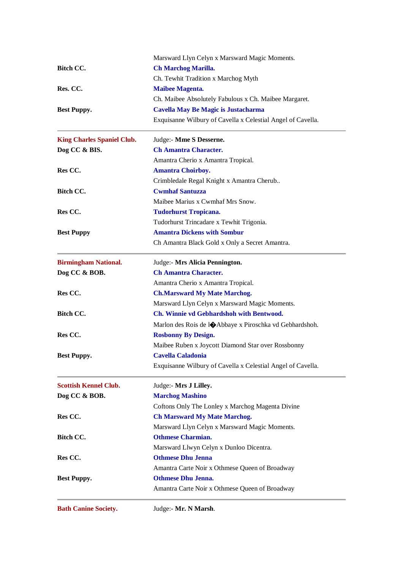|                                   | Marsward Llyn Celyn x Marsward Magic Moments.                      |
|-----------------------------------|--------------------------------------------------------------------|
| Bitch CC.                         | Ch Marchog Marilla.                                                |
|                                   | Ch. Tewhit Tradition x Marchog Myth                                |
| Res. CC.                          | <b>Maibee Magenta.</b>                                             |
|                                   | Ch. Maibee Absolutely Fabulous x Ch. Maibee Margaret.              |
| <b>Best Puppy.</b>                | Cavella May Be Magic is Justacharma                                |
|                                   | Exquisanne Wilbury of Cavella x Celestial Angel of Cavella.        |
| <b>King Charles Spaniel Club.</b> | Judge:- Mme S Desserne.                                            |
| Dog CC & BIS.                     | <b>Ch Amantra Character.</b>                                       |
|                                   | Amantra Cherio x Amantra Tropical.                                 |
| Res CC.                           | <b>Amantra Choirboy.</b>                                           |
|                                   | Crimbledale Regal Knight x Amantra Cherub                          |
| Bitch CC.                         | <b>Cwmhaf Santuzza</b>                                             |
|                                   | Maibee Marius x Cwmhaf Mrs Snow.                                   |
| Res CC.                           | <b>Tudorhurst Tropicana.</b>                                       |
|                                   | Tudorhurst Trincadare x Tewhit Trigonia.                           |
| <b>Best Puppy</b>                 | <b>Amantra Dickens with Sombur</b>                                 |
|                                   | Ch Amantra Black Gold x Only a Secret Amantra.                     |
| <b>Birmingham National.</b>       | Judge:- Mrs Alicia Pennington.                                     |
| Dog CC & BOB.                     | <b>Ch Amantra Character.</b>                                       |
|                                   | Amantra Cherio x Amantra Tropical.                                 |
| Res CC.                           | <b>Ch.Marsward My Mate Marchog.</b>                                |
|                                   | Marsward Llyn Celyn x Marsward Magic Moments.                      |
| Bitch CC.                         | Ch. Winnie vd Gebhardshoh with Bentwood.                           |
|                                   | Marlon des Rois de l $\bigcirc$ Abbaye x Piroschka vd Gebhardshoh. |
| Res CC.                           | <b>Rosbonny By Design.</b>                                         |
|                                   | Maibee Ruben x Joycott Diamond Star over Rossbonny                 |
| <b>Best Puppy.</b>                | <b>Cavella Caladonia</b>                                           |
|                                   | Exquisanne Wilbury of Cavella x Celestial Angel of Cavella.        |
| <b>Scottish Kennel Club.</b>      | Judge:- Mrs J Lilley.                                              |
| Dog CC & BOB.                     | <b>Marchog Mashino</b>                                             |
|                                   | Coftons Only The Lonley x Marchog Magenta Divine                   |
| Res CC.                           | <b>Ch Marsward My Mate Marchog.</b>                                |
|                                   | Marsward Llyn Celyn x Marsward Magic Moments.                      |
| <b>Bitch CC.</b>                  | <b>Othmese Charmian.</b>                                           |
|                                   | Marsward Llwyn Celyn x Dunloo Dicentra.                            |
| Res CC.                           | <b>Othmese Dhu Jenna</b>                                           |
|                                   | Amantra Carte Noir x Othmese Queen of Broadway                     |
| <b>Best Puppy.</b>                | <b>Othmese Dhu Jenna.</b>                                          |
|                                   | Amantra Carte Noir x Othmese Queen of Broadway                     |
| <b>Bath Canine Society.</b>       | Judge:- Mr. N Marsh.                                               |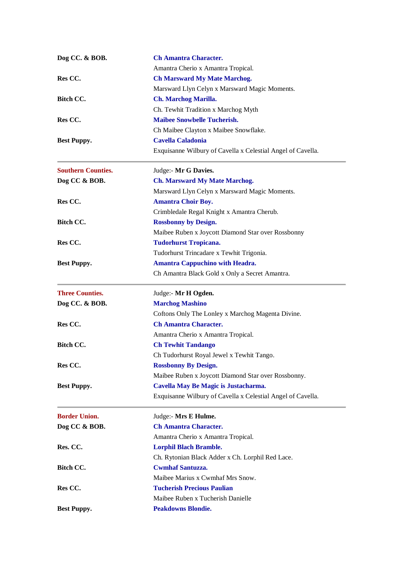| Dog CC. & BOB.            | <b>Ch Amantra Character.</b>                                |
|---------------------------|-------------------------------------------------------------|
|                           | Amantra Cherio x Amantra Tropical.                          |
| Res CC.                   | <b>Ch Marsward My Mate Marchog.</b>                         |
|                           | Marsward Llyn Celyn x Marsward Magic Moments.               |
| Bitch CC.                 | <b>Ch. Marchog Marilla.</b>                                 |
|                           | Ch. Tewhit Tradition x Marchog Myth                         |
| Res CC.                   | <b>Maibee Snowbelle Tucherish.</b>                          |
|                           | Ch Maibee Clayton x Maibee Snowflake.                       |
| <b>Best Puppy.</b>        | <b>Cavella Caladonia</b>                                    |
|                           | Exquisanne Wilbury of Cavella x Celestial Angel of Cavella. |
| <b>Southern Counties.</b> | Judge:- Mr G Davies.                                        |
| Dog CC & BOB.             | <b>Ch. Marsward My Mate Marchog.</b>                        |
|                           | Marsward Llyn Celyn x Marsward Magic Moments.               |
| Res CC.                   | <b>Amantra Choir Boy.</b>                                   |
|                           | Crimbledale Regal Knight x Amantra Cherub.                  |
| <b>Bitch CC.</b>          | <b>Rossbonny by Design.</b>                                 |
|                           | Maibee Ruben x Joycott Diamond Star over Rossbonny          |
| Res CC.                   | <b>Tudorhurst Tropicana.</b>                                |
|                           | Tudorhurst Trincadare x Tewhit Trigonia.                    |
| <b>Best Puppy.</b>        | <b>Amantra Cappuchino with Headra.</b>                      |
|                           | Ch Amantra Black Gold x Only a Secret Amantra.              |
| <b>Three Counties.</b>    | Judge:- Mr H Ogden.                                         |
| Dog CC. & BOB.            | <b>Marchog Mashino</b>                                      |
|                           | Coftons Only The Lonley x Marchog Magenta Divine.           |
| Res CC.                   | <b>Ch Amantra Character.</b>                                |
|                           | Amantra Cherio x Amantra Tropical.                          |
| <b>Bitch CC.</b>          | <b>Ch Tewhit Tandango</b>                                   |
|                           | Ch Tudorhurst Royal Jewel x Tewhit Tango                    |
| Res CC.                   | <b>Rossbonny By Design.</b>                                 |
|                           | Maibee Ruben x Joycott Diamond Star over Rossbonny.         |
| <b>Best Puppy.</b>        | Cavella May Be Magic is Justacharma.                        |
|                           | Exquisanne Wilbury of Cavella x Celestial Angel of Cavella. |
| <b>Border Union.</b>      | Judge:- Mrs E Hulme.                                        |
| Dog CC & BOB.             | <b>Ch Amantra Character.</b>                                |
|                           | Amantra Cherio x Amantra Tropical.                          |
| Res. CC.                  | <b>Lorphil Blach Bramble.</b>                               |
|                           | Ch. Rytonian Black Adder x Ch. Lorphil Red Lace.            |
| Bitch CC.                 | <b>Cwmhaf Santuzza.</b>                                     |
|                           | Maibee Marius x Cwmhaf Mrs Snow.                            |
| Res CC.                   | <b>Tucherish Precious Paulian</b>                           |
|                           | Maibee Ruben x Tucherish Danielle                           |
| <b>Best Puppy.</b>        | <b>Peakdowns Blondie.</b>                                   |
|                           |                                                             |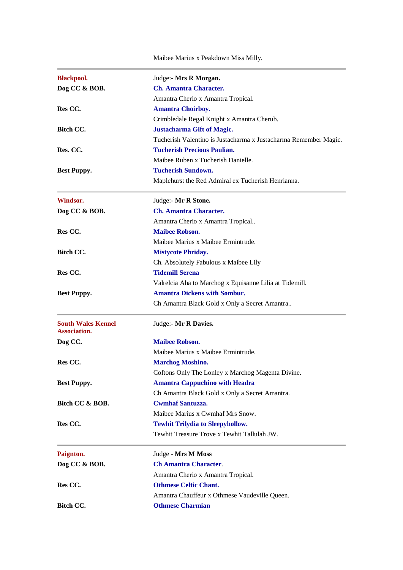Maibee Marius x Peakdown Miss Milly.

| <b>Blackpool.</b>                                | Judge:- Mrs R Morgan.                                            |
|--------------------------------------------------|------------------------------------------------------------------|
| Dog CC & BOB.                                    | <b>Ch. Amantra Character.</b>                                    |
|                                                  | Amantra Cherio x Amantra Tropical.                               |
| Res CC.                                          | <b>Amantra Choirboy.</b>                                         |
|                                                  | Crimbledale Regal Knight x Amantra Cherub.                       |
| Bitch CC.                                        | <b>Justacharma Gift of Magic.</b>                                |
|                                                  | Tucherish Valentino is Justacharma x Justacharma Remember Magic. |
| Res. CC.                                         | <b>Tucherish Precious Paulian.</b>                               |
|                                                  | Maibee Ruben x Tucherish Danielle.                               |
| <b>Best Puppy.</b>                               | <b>Tucherish Sundown.</b>                                        |
|                                                  | Maplehurst the Red Admiral ex Tucherish Henrianna.               |
| Windsor.                                         | Judge:- Mr R Stone.                                              |
| Dog CC & BOB.                                    | <b>Ch. Amantra Character.</b>                                    |
|                                                  | Amantra Cherio x Amantra Tropical                                |
| Res CC.                                          | <b>Maibee Robson.</b>                                            |
|                                                  | Maibee Marius x Maibee Ermintrude.                               |
| Bitch CC.                                        | <b>Mistycote Phriday.</b>                                        |
|                                                  | Ch. Absolutely Fabulous x Maibee Lily                            |
| Res CC.                                          | <b>Tidemill Serena</b>                                           |
|                                                  | Valrelcia Aha to Marchog x Equisanne Lilia at Tidemill.          |
| <b>Best Puppy.</b>                               | <b>Amantra Dickens with Sombur.</b>                              |
|                                                  | Ch Amantra Black Gold x Only a Secret Amantra                    |
| <b>South Wales Kennel</b><br><b>Association.</b> | Judge:- Mr R Davies.                                             |
| Dog CC.                                          | <b>Maibee Robson.</b>                                            |
|                                                  | Maibee Marius x Maibee Ermintrude.                               |
| Res CC.                                          | <b>Marchog Moshino.</b>                                          |
|                                                  | Coftons Only The Lonley x Marchog Magenta Divine.                |
| <b>Best Puppy.</b>                               | <b>Amantra Cappuchino with Headra</b>                            |
|                                                  | Ch Amantra Black Gold x Only a Secret Amantra.                   |
| Bitch CC & BOB.                                  | <b>Cwmhaf Santuzza.</b>                                          |
|                                                  | Maibee Marius x Cwmhaf Mrs Snow.                                 |
| Res CC.                                          | <b>Tewhit Trilydia to Sleepyhollow.</b>                          |
|                                                  | Tewhit Treasure Trove x Tewhit Tallulah JW.                      |
| Paignton.                                        | Judge - Mrs M Moss                                               |
| Dog CC & BOB.                                    | <b>Ch Amantra Character.</b>                                     |
|                                                  | Amantra Cherio x Amantra Tropical.                               |
| Res CC.                                          | <b>Othmese Celtic Chant.</b>                                     |
|                                                  | Amantra Chauffeur x Othmese Vaudeville Queen.                    |
| Bitch CC.                                        | <b>Othmese Charmian</b>                                          |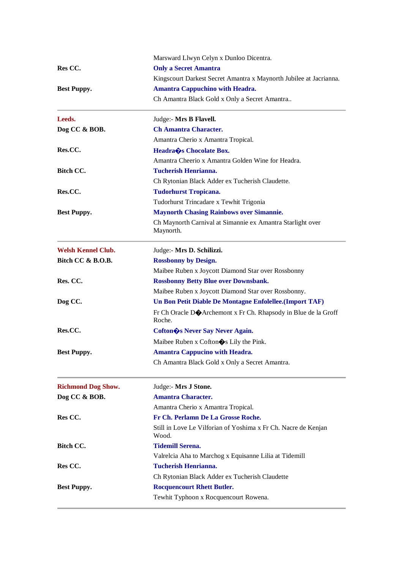|                           | Marsward Llwyn Celyn x Dunloo Dicentra.                                  |
|---------------------------|--------------------------------------------------------------------------|
| Res CC.                   | <b>Only a Secret Amantra</b>                                             |
|                           | Kingscourt Darkest Secret Amantra x Maynorth Jubilee at Jacrianna.       |
| <b>Best Puppy.</b>        | <b>Amantra Cappuchino with Headra.</b>                                   |
|                           | Ch Amantra Black Gold x Only a Secret Amantra                            |
| Leeds.                    | Judge:- Mrs B Flavell.                                                   |
| Dog CC & BOB.             | <b>Ch Amantra Character.</b>                                             |
|                           | Amantra Cherio x Amantra Tropical.                                       |
| Res.CC.                   | Headra $\hat{\mathbf{\bullet}}$ s Chocolate Box.                         |
|                           | Amantra Cheerio x Amantra Golden Wine for Headra.                        |
| Bitch CC.                 | <b>Tucherish Henrianna.</b>                                              |
|                           | Ch Rytonian Black Adder ex Tucherish Claudette.                          |
| Res.CC.                   | <b>Tudorhurst Tropicana.</b>                                             |
|                           | Tudorhurst Trincadare x Tewhit Trigonia                                  |
| <b>Best Puppy.</b>        | <b>Maynorth Chasing Rainbows over Simannie.</b>                          |
|                           | Ch Maynorth Carnival at Simannie ex Amantra Starlight over<br>Maynorth.  |
| <b>Welsh Kennel Club.</b> | Judge:- Mrs D. Schilizzi.                                                |
| Bitch CC & B.O.B.         | <b>Rossbonny by Design.</b>                                              |
|                           | Maibee Ruben x Joycott Diamond Star over Rossbonny                       |
| Res. CC.                  | <b>Rossbonny Betty Blue over Downsbank.</b>                              |
|                           | Maibee Ruben x Joycott Diamond Star over Rossbonny.                      |
| Dog CC.                   | Un Bon Petit Diable De Montagne Enfolellee. (Import TAF)                 |
|                           | Fr Ch Oracle DOArchemont x Fr Ch. Rhapsody in Blue de la Groff<br>Roche. |
| Res.CC.                   | Cofton & S Never Say Never Again.                                        |
|                           | Maibee Ruben x Cofton $\diamondsuit$ s Lily the Pink.                    |
| <b>Best Puppy.</b>        | <b>Amantra Cappucino with Headra.</b>                                    |
|                           | Ch Amantra Black Gold x Only a Secret Amantra.                           |
| <b>Richmond Dog Show.</b> | Judge:- Mrs J Stone.                                                     |
| Dog CC & BOB.             | <b>Amantra Character.</b>                                                |
|                           | Amantra Cherio x Amantra Tropical.                                       |
| Res CC.                   | Fr Ch. Perlamn De La Grosse Roche.                                       |
|                           | Still in Love Le Vilforian of Yoshima x Fr Ch. Nacre de Kenjan<br>Wood.  |
| <b>Bitch CC.</b>          | <b>Tidemill Serena.</b>                                                  |
|                           | Valrelcia Aha to Marchog x Equisanne Lilia at Tidemill                   |
| Res CC.                   | <b>Tucherish Henrianna.</b>                                              |
|                           | Ch Rytonian Black Adder ex Tucherish Claudette                           |
| <b>Best Puppy.</b>        | <b>Rocquencourt Rhett Butler.</b>                                        |
|                           | Tewhit Typhoon x Rocquencourt Rowena.                                    |